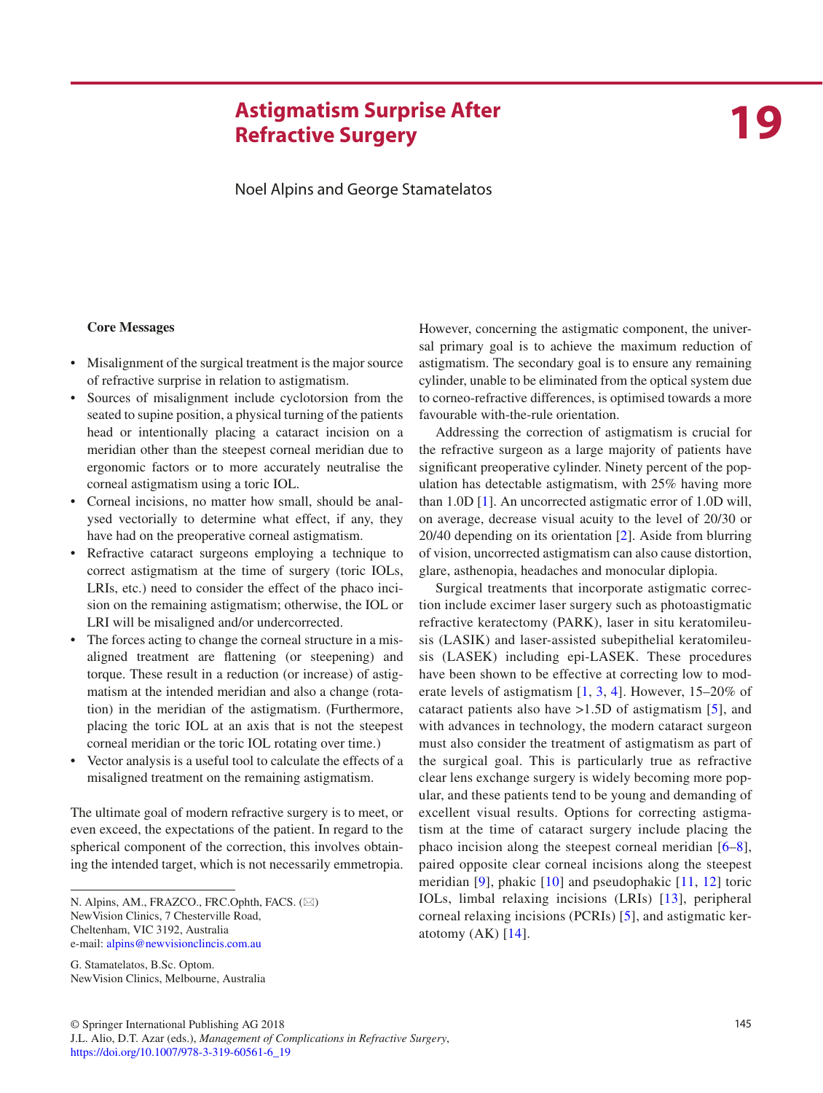# **Astigmatism Surprise After Refractive Surgery**

**19**

Noel Alpins and George Stamatelatos

#### **Core Messages**

- Misalignment of the surgical treatment is the major source of refractive surprise in relation to astigmatism.
- Sources of misalignment include cyclotorsion from the seated to supine position, a physical turning of the patients head or intentionally placing a cataract incision on a meridian other than the steepest corneal meridian due to ergonomic factors or to more accurately neutralise the corneal astigmatism using a toric IOL.
- Corneal incisions, no matter how small, should be analysed vectorially to determine what effect, if any, they have had on the preoperative corneal astigmatism.
- Refractive cataract surgeons employing a technique to correct astigmatism at the time of surgery (toric IOLs, LRIs, etc.) need to consider the effect of the phaco incision on the remaining astigmatism; otherwise, the IOL or LRI will be misaligned and/or undercorrected.
- The forces acting to change the corneal structure in a misaligned treatment are flattening (or steepening) and torque. These result in a reduction (or increase) of astigmatism at the intended meridian and also a change (rotation) in the meridian of the astigmatism. (Furthermore, placing the toric IOL at an axis that is not the steepest corneal meridian or the toric IOL rotating over time.)
- Vector analysis is a useful tool to calculate the effects of a misaligned treatment on the remaining astigmatism.

The ultimate goal of modern refractive surgery is to meet, or even exceed, the expectations of the patient. In regard to the spherical component of the correction, this involves obtaining the intended target, which is not necessarily emmetropia.

N. Alpins, AM., FRAZCO., FRC.Ophth, FACS. ( $\boxtimes$ ) NewVision Clinics, 7 Chesterville Road, Cheltenham, VIC 3192, Australia e-mail[: alpins@newvisionclincis.com.au](mailto:alpins@newvisionclincis.com.au)

G. Stamatelatos, B.Sc. Optom. NewVision Clinics, Melbourne, Australia

However, concerning the astigmatic component, the universal primary goal is to achieve the maximum reduction of astigmatism. The secondary goal is to ensure any remaining cylinder, unable to be eliminated from the optical system due to corneo-refractive differences, is optimised towards a more favourable with-the-rule orientation.

Addressing the correction of astigmatism is crucial for the refractive surgeon as a large majority of patients have significant preoperative cylinder. Ninety percent of the population has detectable astigmatism, with 25% having more than 1.0D [[1\]](#page-7-0). An uncorrected astigmatic error of 1.0D will, on average, decrease visual acuity to the level of 20/30 or 20/40 depending on its orientation [\[2](#page-7-1)]. Aside from blurring of vision, uncorrected astigmatism can also cause distortion, glare, asthenopia, headaches and monocular diplopia.

Surgical treatments that incorporate astigmatic correction include excimer laser surgery such as photoastigmatic refractive keratectomy (PARK), laser in situ keratomileusis (LASIK) and laser-assisted subepithelial keratomileusis (LASEK) including epi-LASEK. These procedures have been shown to be effective at correcting low to moderate levels of astigmatism [[1](#page-7-0), [3,](#page-7-2) [4](#page-7-3)]. However, 15–20% of cataract patients also have >1.5D of astigmatism [[5](#page-7-4)], and with advances in technology, the modern cataract surgeon must also consider the treatment of astigmatism as part of the surgical goal. This is particularly true as refractive clear lens exchange surgery is widely becoming more popular, and these patients tend to be young and demanding of excellent visual results. Options for correcting astigmatism at the time of cataract surgery include placing the phaco incision along the steepest corneal meridian [[6–](#page-7-5)[8](#page-7-6)], paired opposite clear corneal incisions along the steepest meridian [[9\]](#page-7-7), phakic [[10](#page-7-8)] and pseudophakic [[11,](#page-7-9) [12\]](#page-7-10) toric IOLs, limbal relaxing incisions (LRIs) [[13](#page-7-11)], peripheral corneal relaxing incisions (PCRIs) [[5\]](#page-7-4), and astigmatic keratotomy  $(AK)$  [[14\]](#page-7-12).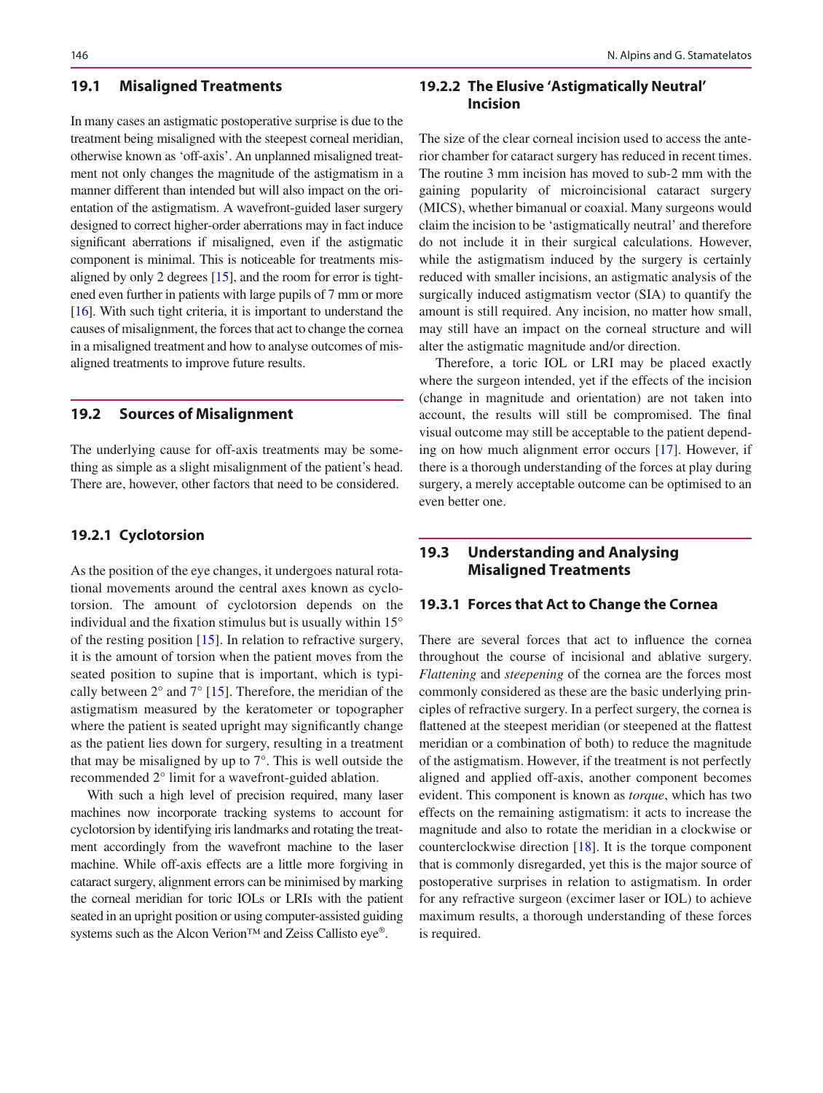### **19.1 Misaligned Treatments**

In many cases an astigmatic postoperative surprise is due to the treatment being misaligned with the steepest corneal meridian, otherwise known as 'off-axis'. An unplanned misaligned treatment not only changes the magnitude of the astigmatism in a manner different than intended but will also impact on the orientation of the astigmatism. A wavefront-guided laser surgery designed to correct higher-order aberrations may in fact induce significant aberrations if misaligned, even if the astigmatic component is minimal. This is noticeable for treatments misaligned by only 2 degrees [\[15\]](#page-7-13), and the room for error is tightened even further in patients with large pupils of 7 mm or more [\[16\]](#page-7-14). With such tight criteria, it is important to understand the causes of misalignment, the forces that act to change the cornea in a misaligned treatment and how to analyse outcomes of misaligned treatments to improve future results.

## **19.2 Sources of Misalignment**

The underlying cause for off-axis treatments may be something as simple as a slight misalignment of the patient's head. There are, however, other factors that need to be considered.

## **19.2.1 Cyclotorsion**

As the position of the eye changes, it undergoes natural rotational movements around the central axes known as cyclotorsion. The amount of cyclotorsion depends on the individual and the fixation stimulus but is usually within 15° of the resting position [[15\]](#page-7-13). In relation to refractive surgery, it is the amount of torsion when the patient moves from the seated position to supine that is important, which is typically between  $2^{\circ}$  and  $7^{\circ}$  [[15\]](#page-7-13). Therefore, the meridian of the astigmatism measured by the keratometer or topographer where the patient is seated upright may significantly change as the patient lies down for surgery, resulting in a treatment that may be misaligned by up to 7°. This is well outside the recommended 2° limit for a wavefront-guided ablation.

With such a high level of precision required, many laser machines now incorporate tracking systems to account for cyclotorsion by identifying iris landmarks and rotating the treatment accordingly from the wavefront machine to the laser machine. While off-axis effects are a little more forgiving in cataract surgery, alignment errors can be minimised by marking the corneal meridian for toric IOLs or LRIs with the patient seated in an upright position or using computer-assisted guiding systems such as the Alcon Verion™ and Zeiss Callisto eye®.

## **19.2.2 The Elusive 'Astigmatically Neutral' Incision**

The size of the clear corneal incision used to access the anterior chamber for cataract surgery has reduced in recent times. The routine 3 mm incision has moved to sub-2 mm with the gaining popularity of microincisional cataract surgery (MICS), whether bimanual or coaxial. Many surgeons would claim the incision to be 'astigmatically neutral' and therefore do not include it in their surgical calculations. However, while the astigmatism induced by the surgery is certainly reduced with smaller incisions, an astigmatic analysis of the surgically induced astigmatism vector (SIA) to quantify the amount is still required. Any incision, no matter how small, may still have an impact on the corneal structure and will alter the astigmatic magnitude and/or direction.

Therefore, a toric IOL or LRI may be placed exactly where the surgeon intended, yet if the effects of the incision (change in magnitude and orientation) are not taken into account, the results will still be compromised. The final visual outcome may still be acceptable to the patient depending on how much alignment error occurs [[17\]](#page-7-15). However, if there is a thorough understanding of the forces at play during surgery, a merely acceptable outcome can be optimised to an even better one.

# **19.3 Understanding and Analysing Misaligned Treatments**

#### **19.3.1 Forces that Act to Change the Cornea**

There are several forces that act to influence the cornea throughout the course of incisional and ablative surgery. *Flattening* and *steepening* of the cornea are the forces most commonly considered as these are the basic underlying principles of refractive surgery. In a perfect surgery, the cornea is flattened at the steepest meridian (or steepened at the flattest meridian or a combination of both) to reduce the magnitude of the astigmatism. However, if the treatment is not perfectly aligned and applied off-axis, another component becomes evident. This component is known as *torque*, which has two effects on the remaining astigmatism: it acts to increase the magnitude and also to rotate the meridian in a clockwise or counterclockwise direction [\[18](#page-7-16)]. It is the torque component that is commonly disregarded, yet this is the major source of postoperative surprises in relation to astigmatism. In order for any refractive surgeon (excimer laser or IOL) to achieve maximum results, a thorough understanding of these forces is required.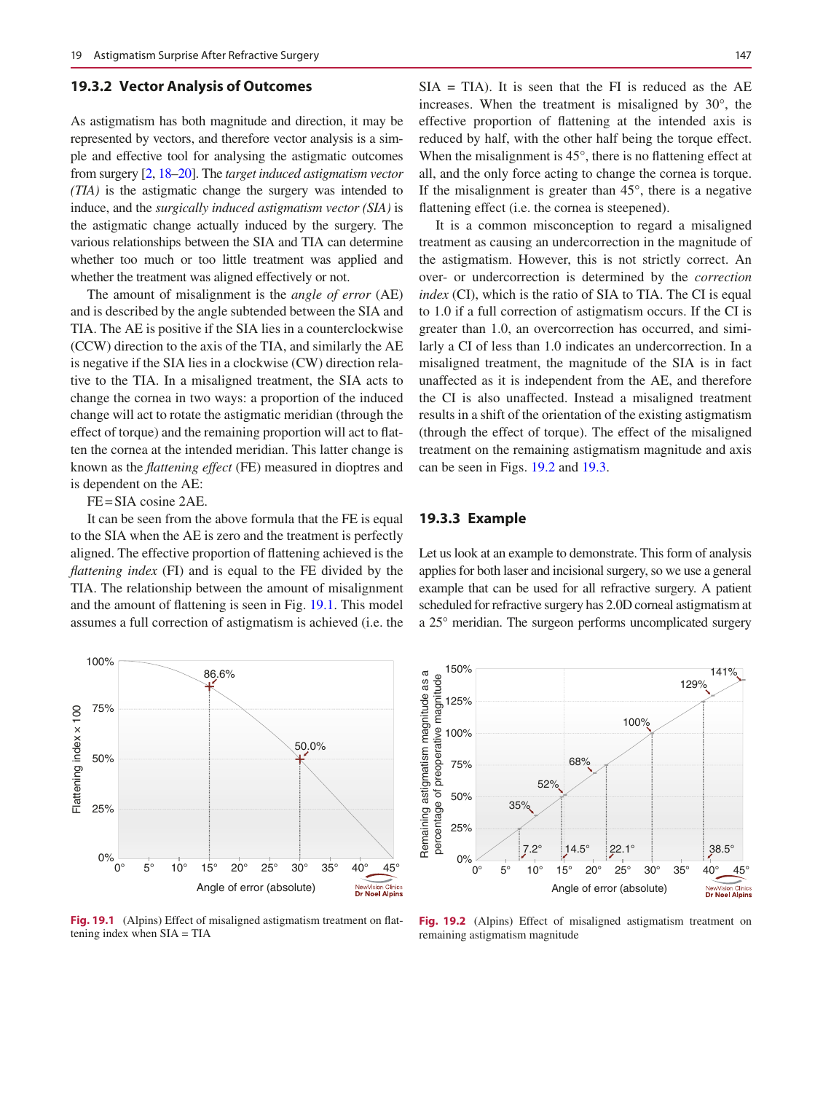#### **19.3.2 Vector Analysis of Outcomes**

As astigmatism has both magnitude and direction, it may be represented by vectors, and therefore vector analysis is a simple and effective tool for analysing the astigmatic outcomes from surgery [\[2](#page-7-1), [18](#page-7-16)[–20\]](#page-7-17). The *target induced astigmatism vector (TIA)* is the astigmatic change the surgery was intended to induce, and the *surgically induced astigmatism vector (SIA)* is the astigmatic change actually induced by the surgery. The various relationships between the SIA and TIA can determine whether too much or too little treatment was applied and whether the treatment was aligned effectively or not.

The amount of misalignment is the *angle of error* (AE) and is described by the angle subtended between the SIA and TIA. The AE is positive if the SIA lies in a counterclockwise (CCW) direction to the axis of the TIA, and similarly the AE is negative if the SIA lies in a clockwise (CW) direction relative to the TIA. In a misaligned treatment, the SIA acts to change the cornea in two ways: a proportion of the induced change will act to rotate the astigmatic meridian (through the effect of torque) and the remaining proportion will act to flatten the cornea at the intended meridian. This latter change is known as the *flattening effect* (FE) measured in dioptres and is dependent on the AE:

FE=SIA cosine 2AE.

It can be seen from the above formula that the FE is equal to the SIA when the AE is zero and the treatment is perfectly aligned. The effective proportion of flattening achieved is the *flattening index* (FI) and is equal to the FE divided by the TIA. The relationship between the amount of misalignment and the amount of flattening is seen in Fig. [19.1.](#page-2-0) This model assumes a full correction of astigmatism is achieved (i.e. the

<span id="page-2-0"></span>

**Fig. 19.1** (Alpins) Effect of misaligned astigmatism treatment on flattening index when SIA = TIA

 $SIA = TIA$ ). It is seen that the FI is reduced as the AE increases. When the treatment is misaligned by 30°, the effective proportion of flattening at the intended axis is reduced by half, with the other half being the torque effect. When the misalignment is 45°, there is no flattening effect at all, and the only force acting to change the cornea is torque. If the misalignment is greater than 45°, there is a negative flattening effect (i.e. the cornea is steepened).

It is a common misconception to regard a misaligned treatment as causing an undercorrection in the magnitude of the astigmatism. However, this is not strictly correct. An over- or undercorrection is determined by the *correction index* (CI), which is the ratio of SIA to TIA. The CI is equal to 1.0 if a full correction of astigmatism occurs. If the CI is greater than 1.0, an overcorrection has occurred, and similarly a CI of less than 1.0 indicates an undercorrection. In a misaligned treatment, the magnitude of the SIA is in fact unaffected as it is independent from the AE, and therefore the CI is also unaffected. Instead a misaligned treatment results in a shift of the orientation of the existing astigmatism (through the effect of torque). The effect of the misaligned treatment on the remaining astigmatism magnitude and axis can be seen in Figs. [19.2](#page-2-1) and [19.3.](#page-3-0)

#### **19.3.3 Example**

Let us look at an example to demonstrate. This form of analysis applies for both laser and incisional surgery, so we use a general example that can be used for all refractive surgery. A patient scheduled for refractive surgery has 2.0D corneal astigmatism at a 25° meridian. The surgeon performs uncomplicated surgery

<span id="page-2-1"></span>

**Fig. 19.2** (Alpins) Effect of misaligned astigmatism treatment on remaining astigmatism magnitude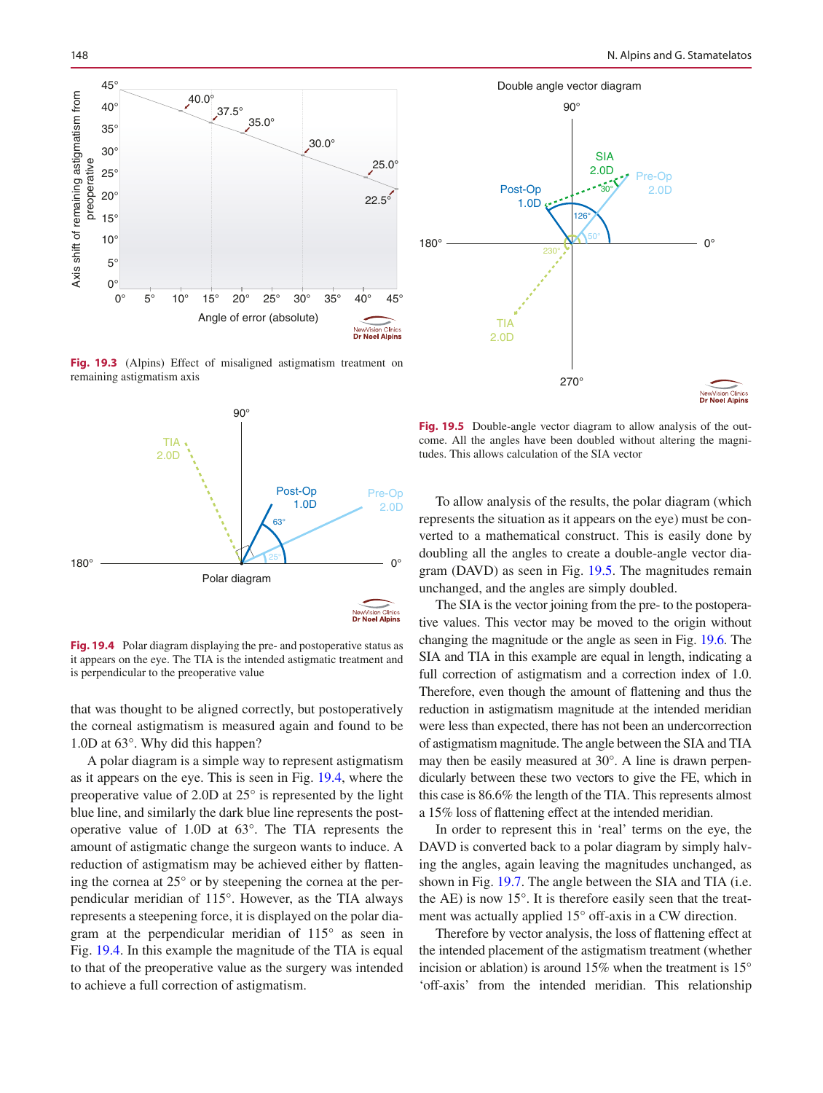<span id="page-3-0"></span>

**Fig. 19.3** (Alpins) Effect of misaligned astigmatism treatment on remaining astigmatism axis

<span id="page-3-1"></span>

**Fig. 19.4** Polar diagram displaying the pre- and postoperative status as it appears on the eye. The TIA is the intended astigmatic treatment and is perpendicular to the preoperative value

that was thought to be aligned correctly, but postoperatively the corneal astigmatism is measured again and found to be 1.0D at 63°. Why did this happen?

A polar diagram is a simple way to represent astigmatism as it appears on the eye. This is seen in Fig. [19.4](#page-3-1), where the preoperative value of 2.0D at 25° is represented by the light blue line, and similarly the dark blue line represents the postoperative value of 1.0D at 63°. The TIA represents the amount of astigmatic change the surgeon wants to induce. A reduction of astigmatism may be achieved either by flattening the cornea at 25° or by steepening the cornea at the perpendicular meridian of 115°. However, as the TIA always represents a steepening force, it is displayed on the polar diagram at the perpendicular meridian of 115° as seen in Fig. [19.4.](#page-3-1) In this example the magnitude of the TIA is equal to that of the preoperative value as the surgery was intended to achieve a full correction of astigmatism.

<span id="page-3-2"></span>

**Fig. 19.5** Double-angle vector diagram to allow analysis of the outcome. All the angles have been doubled without altering the magnitudes. This allows calculation of the SIA vector

To allow analysis of the results, the polar diagram (which represents the situation as it appears on the eye) must be converted to a mathematical construct. This is easily done by doubling all the angles to create a double-angle vector diagram (DAVD) as seen in Fig. [19.5](#page-3-2). The magnitudes remain unchanged, and the angles are simply doubled.

The SIA is the vector joining from the pre- to the postoperative values. This vector may be moved to the origin without changing the magnitude or the angle as seen in Fig. [19.6.](#page-4-0) The SIA and TIA in this example are equal in length, indicating a full correction of astigmatism and a correction index of 1.0. Therefore, even though the amount of flattening and thus the reduction in astigmatism magnitude at the intended meridian were less than expected, there has not been an undercorrection of astigmatism magnitude. The angle between the SIA and TIA may then be easily measured at 30°. A line is drawn perpendicularly between these two vectors to give the FE, which in this case is 86.6% the length of the TIA. This represents almost a 15% loss of flattening effect at the intended meridian.

In order to represent this in 'real' terms on the eye, the DAVD is converted back to a polar diagram by simply halving the angles, again leaving the magnitudes unchanged, as shown in Fig. [19.7](#page-4-1). The angle between the SIA and TIA (i.e. the AE) is now 15°. It is therefore easily seen that the treatment was actually applied 15° off-axis in a CW direction.

Therefore by vector analysis, the loss of flattening effect at the intended placement of the astigmatism treatment (whether incision or ablation) is around 15% when the treatment is  $15^{\circ}$ 'off-axis' from the intended meridian. This relationship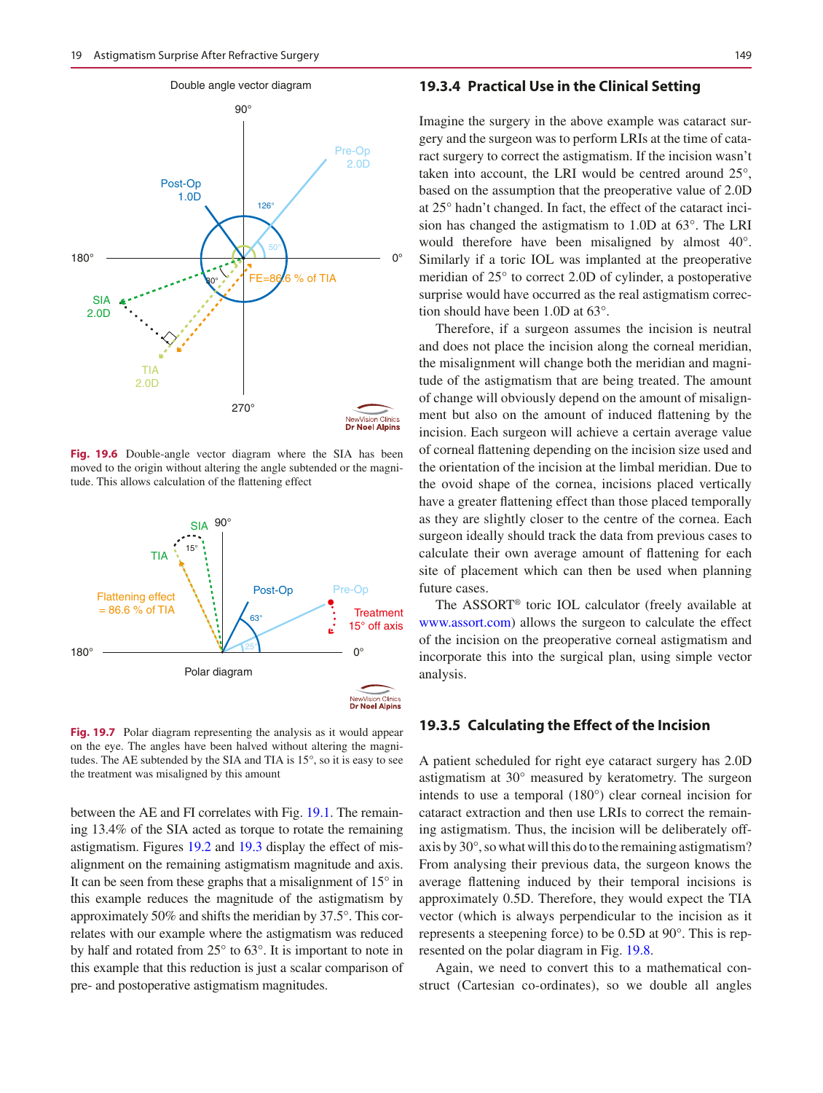<span id="page-4-0"></span>

**Fig. 19.6** Double-angle vector diagram where the SIA has been moved to the origin without altering the angle subtended or the magnitude. This allows calculation of the flattening effect

<span id="page-4-1"></span>

**Fig. 19.7** Polar diagram representing the analysis as it would appear on the eye. The angles have been halved without altering the magnitudes. The AE subtended by the SIA and TIA is 15°, so it is easy to see the treatment was misaligned by this amount

between the AE and FI correlates with Fig. [19.1.](#page-2-0) The remaining 13.4% of the SIA acted as torque to rotate the remaining astigmatism. Figures [19.2](#page-2-1) and [19.3](#page-3-0) display the effect of misalignment on the remaining astigmatism magnitude and axis. It can be seen from these graphs that a misalignment of  $15^{\circ}$  in this example reduces the magnitude of the astigmatism by approximately 50% and shifts the meridian by 37.5°. This correlates with our example where the astigmatism was reduced by half and rotated from 25° to 63°. It is important to note in this example that this reduction is just a scalar comparison of pre- and postoperative astigmatism magnitudes.

#### **19.3.4 Practical Use in the Clinical Setting**

Imagine the surgery in the above example was cataract surgery and the surgeon was to perform LRIs at the time of cataract surgery to correct the astigmatism. If the incision wasn't taken into account, the LRI would be centred around 25°, based on the assumption that the preoperative value of 2.0D at 25° hadn't changed. In fact, the effect of the cataract incision has changed the astigmatism to 1.0D at 63°. The LRI would therefore have been misaligned by almost 40°. Similarly if a toric IOL was implanted at the preoperative meridian of 25° to correct 2.0D of cylinder, a postoperative surprise would have occurred as the real astigmatism correction should have been 1.0D at 63°.

Therefore, if a surgeon assumes the incision is neutral and does not place the incision along the corneal meridian, the misalignment will change both the meridian and magnitude of the astigmatism that are being treated. The amount of change will obviously depend on the amount of misalignment but also on the amount of induced flattening by the incision. Each surgeon will achieve a certain average value of corneal flattening depending on the incision size used and the orientation of the incision at the limbal meridian. Due to the ovoid shape of the cornea, incisions placed vertically have a greater flattening effect than those placed temporally as they are slightly closer to the centre of the cornea. Each surgeon ideally should track the data from previous cases to calculate their own average amount of flattening for each site of placement which can then be used when planning future cases.

The ASSORT® toric IOL calculator (freely available at [www.assort.com\)](http://www.assort.com) allows the surgeon to calculate the effect of the incision on the preoperative corneal astigmatism and incorporate this into the surgical plan, using simple vector analysis.

#### **19.3.5 Calculating the Effect of the Incision**

A patient scheduled for right eye cataract surgery has 2.0D astigmatism at 30° measured by keratometry. The surgeon intends to use a temporal (180°) clear corneal incision for cataract extraction and then use LRIs to correct the remaining astigmatism. Thus, the incision will be deliberately offaxis by 30°, so what will this do to the remaining astigmatism? From analysing their previous data, the surgeon knows the average flattening induced by their temporal incisions is approximately 0.5D. Therefore, they would expect the TIA vector (which is always perpendicular to the incision as it represents a steepening force) to be 0.5D at 90°. This is represented on the polar diagram in Fig. [19.8.](#page-5-0)

Again, we need to convert this to a mathematical construct (Cartesian co-ordinates), so we double all angles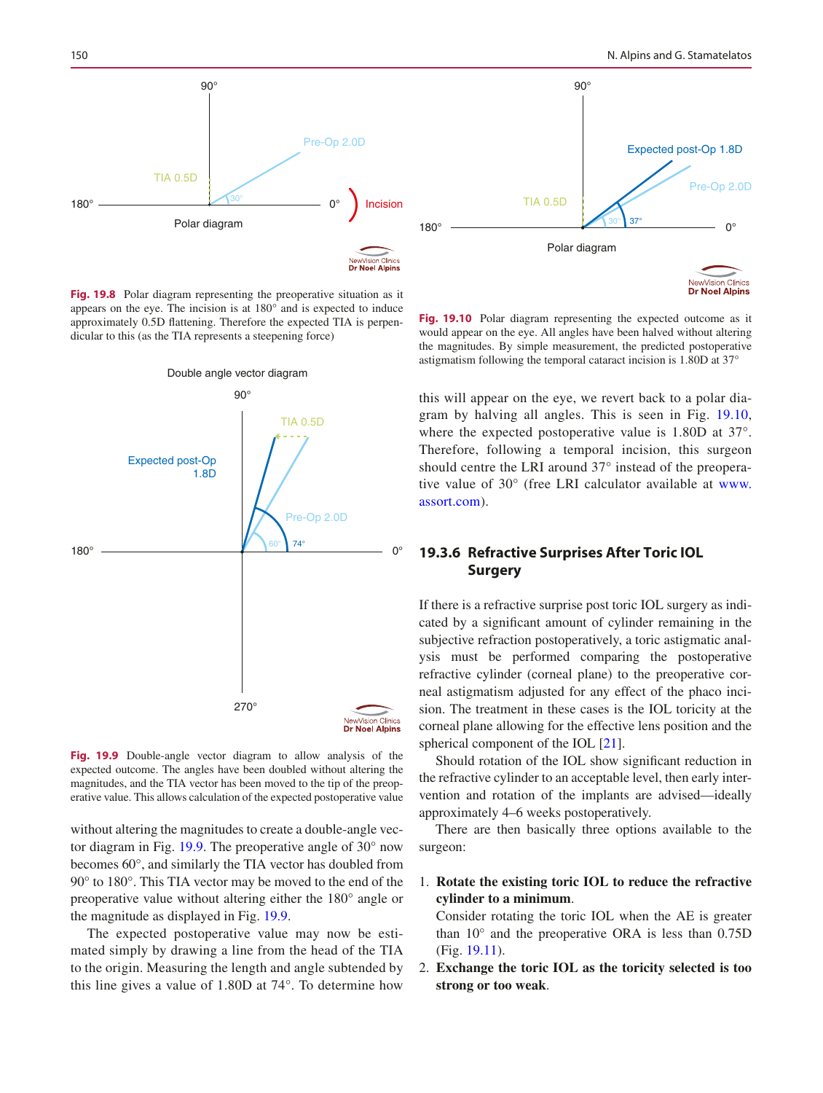<span id="page-5-0"></span>

**Fig. 19.8** Polar diagram representing the preoperative situation as it appears on the eye. The incision is at 180° and is expected to induce approximately 0.5D flattening. Therefore the expected TIA is perpendicular to this (as the TIA represents a steepening force)

<span id="page-5-1"></span>

**Fig. 19.9** Double-angle vector diagram to allow analysis of the expected outcome. The angles have been doubled without altering the magnitudes, and the TIA vector has been moved to the tip of the preoperative value. This allows calculation of the expected postoperative value

without altering the magnitudes to create a double-angle vector diagram in Fig. [19.9.](#page-5-1) The preoperative angle of 30° now becomes 60°, and similarly the TIA vector has doubled from 90° to 180°. This TIA vector may be moved to the end of the preoperative value without altering either the 180° angle or the magnitude as displayed in Fig. [19.9](#page-5-1).

The expected postoperative value may now be estimated simply by drawing a line from the head of the TIA to the origin. Measuring the length and angle subtended by this line gives a value of 1.80D at 74°. To determine how

<span id="page-5-2"></span>

**Fig. 19.10** Polar diagram representing the expected outcome as it would appear on the eye. All angles have been halved without altering the magnitudes. By simple measurement, the predicted postoperative astigmatism following the temporal cataract incision is 1.80D at 37°

this will appear on the eye, we revert back to a polar diagram by halving all angles. This is seen in Fig. [19.10,](#page-5-2) where the expected postoperative value is 1.80D at 37°. Therefore, following a temporal incision, this surgeon should centre the LRI around 37° instead of the preoperative value of 30° (free LRI calculator available at [www.](http://www.assort.com) [assort.com\)](http://www.assort.com).

# **19.3.6 Refractive Surprises After Toric IOL Surgery**

If there is a refractive surprise post toric IOL surgery as indicated by a significant amount of cylinder remaining in the subjective refraction postoperatively, a toric astigmatic analysis must be performed comparing the postoperative refractive cylinder (corneal plane) to the preoperative corneal astigmatism adjusted for any effect of the phaco incision. The treatment in these cases is the IOL toricity at the corneal plane allowing for the effective lens position and the spherical component of the IOL [[21\]](#page-7-18).

Should rotation of the IOL show significant reduction in the refractive cylinder to an acceptable level, then early intervention and rotation of the implants are advised—ideally approximately 4–6 weeks postoperatively.

There are then basically three options available to the surgeon:

# 1. **Rotate the existing toric IOL to reduce the refractive cylinder to a minimum**.

Consider rotating the toric IOL when the AE is greater than 10° and the preoperative ORA is less than 0.75D (Fig. [19.11\)](#page-6-0).

2. **Exchange the toric IOL as the toricity selected is too strong or too weak**.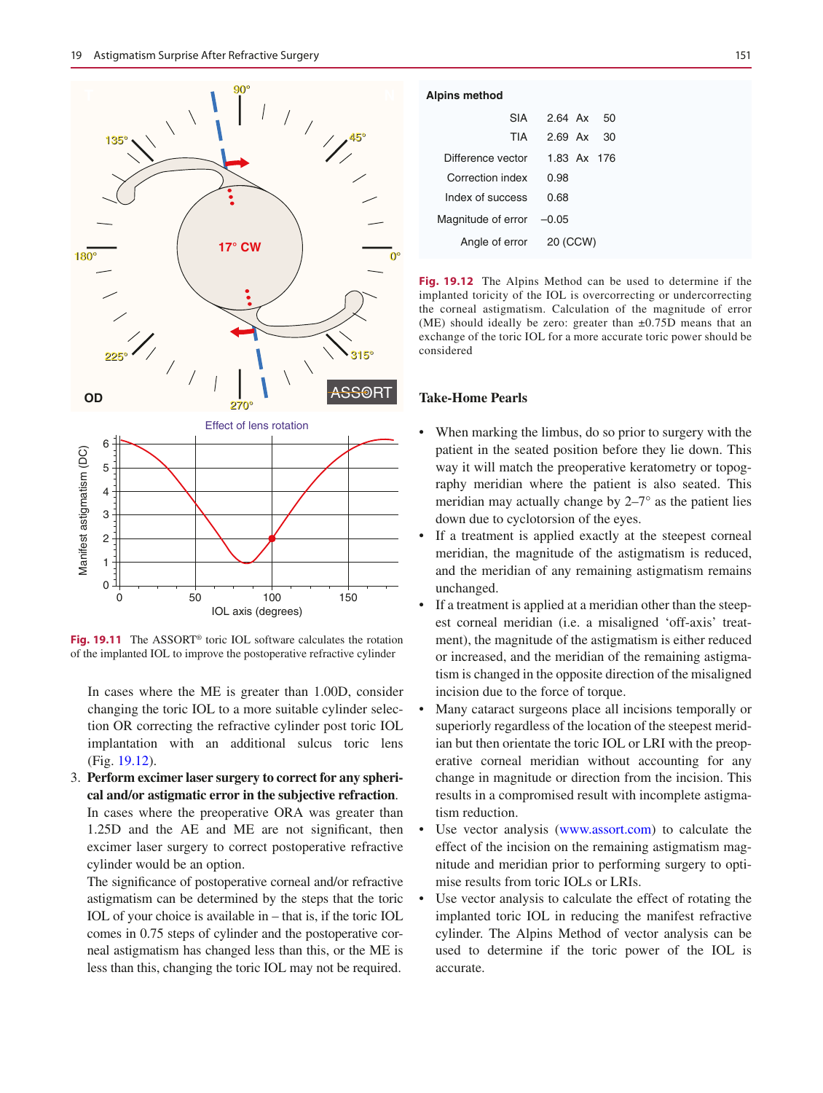<span id="page-6-0"></span>

**Fig. 19.11** The ASSORT® toric IOL software calculates the rotation of the implanted IOL to improve the postoperative refractive cylinder

In cases where the ME is greater than 1.00D, consider changing the toric IOL to a more suitable cylinder selection OR correcting the refractive cylinder post toric IOL implantation with an additional sulcus toric lens (Fig. [19.12\)](#page-6-1).

3. **Perform excimer laser surgery to correct for any spherical and/or astigmatic error in the subjective refraction**. In cases where the preoperative ORA was greater than 1.25D and the AE and ME are not significant, then excimer laser surgery to correct postoperative refractive cylinder would be an option.

The significance of postoperative corneal and/or refractive astigmatism can be determined by the steps that the toric IOL of your choice is available in – that is, if the toric IOL comes in 0.75 steps of cylinder and the postoperative corneal astigmatism has changed less than this, or the ME is less than this, changing the toric IOL may not be required.

#### <span id="page-6-1"></span>**Alpins method**

| <b>SIA</b>         | 2.64 Ax<br>50   |
|--------------------|-----------------|
| TIA                | $2.69$ Ax<br>30 |
|                    |                 |
| Difference vector  | 1.83 Ax 176     |
| Correction index   | 0.98            |
| Index of success   | 0.68            |
| Magnitude of error | $-0.05$         |
| Angle of error     | 20 (CCW)        |

**Fig. 19.12** The Alpins Method can be used to determine if the implanted toricity of the IOL is overcorrecting or undercorrecting the corneal astigmatism. Calculation of the magnitude of error (ME) should ideally be zero: greater than  $\pm 0.75D$  means that an exchange of the toric IOL for a more accurate toric power should be considered

#### **Take-Home Pearls**

- When marking the limbus, do so prior to surgery with the patient in the seated position before they lie down. This way it will match the preoperative keratometry or topography meridian where the patient is also seated. This meridian may actually change by  $2-7^\circ$  as the patient lies down due to cyclotorsion of the eyes.
- If a treatment is applied exactly at the steepest corneal meridian, the magnitude of the astigmatism is reduced, and the meridian of any remaining astigmatism remains unchanged.
- If a treatment is applied at a meridian other than the steepest corneal meridian (i.e. a misaligned 'off-axis' treatment), the magnitude of the astigmatism is either reduced or increased, and the meridian of the remaining astigmatism is changed in the opposite direction of the misaligned incision due to the force of torque.
- Many cataract surgeons place all incisions temporally or superiorly regardless of the location of the steepest meridian but then orientate the toric IOL or LRI with the preoperative corneal meridian without accounting for any change in magnitude or direction from the incision. This results in a compromised result with incomplete astigmatism reduction.
- Use vector analysis [\(www.assort.com\)](http://www.assort.com) to calculate the effect of the incision on the remaining astigmatism magnitude and meridian prior to performing surgery to optimise results from toric IOLs or LRIs.
- Use vector analysis to calculate the effect of rotating the implanted toric IOL in reducing the manifest refractive cylinder. The Alpins Method of vector analysis can be used to determine if the toric power of the IOL is accurate.